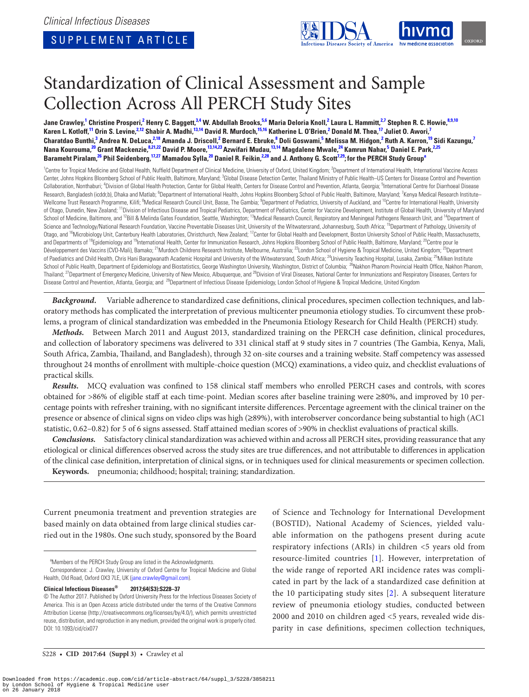

# Standardization of Clinical Assessment and Sample Collection Across All PERCH Study Sites

Jane Crawley,<sup>1</sup> Christine Prosperi,<sup>2</sup> Henry C. Baggett,<sup>3,4</sup> W. Abdullah Brooks,<sup>5,6</sup> Maria Deloria Knoll,<sup>2</sup> Laura L. Hammitt,<sup>2,7</sup> Stephen R. C. Howie,<sup>8,9,10</sup> Karen L. Kotloff,<sup>11</sup> Orin S. Levine,<sup>2,12</sup> Shabir A. Madhi,<sup>13,14</sup> David R. Murdoch,<sup>15,16</sup> Katherine L. O'Brien,<sup>2</sup> Donald M. Thea,<sup>17</sup> Juliet O. Awori,<sup>7</sup> Charatdao Bunthi,<sup>3</sup> Andrea N. DeLuca,<sup>2,18</sup> Amanda J. Driscoll,<sup>2</sup> Bernard E. Ebruke,<sup>8</sup> Doli Goswami,<sup>5</sup> Melissa M. Hidgon,<sup>2</sup> Ruth A. Karron,<sup>19</sup> Sidi Kazungu,<sup>7</sup> Nana Kourouma,<sup>20</sup> Grant Mackenzie,<sup>8,21,22</sup> David P. Moore,<sup>13,14,23</sup> Azwifari Mudau,<sup>13,14</sup> Magdalene Mwale,<sup>24</sup> Kamrun Nahar,<sup>5</sup> Daniel E. Park,<sup>2,21</sup> **Barameht Piralam,26 Phil Seidenberg,17,27 Mamadou Sylla,20 Daniel R. Feikin,2,28 and J. Anthony G. Scott7,29; for the PERCH Study Groupa**

<sup>1</sup>Centre for Tropical Medicine and Global Health, Nuffield Department of Clinical Medicine, University of Oxford, United Kingdom; <sup>2</sup>Department of International Health, International Vaccine Access Center, Johns Hopkins Bloomberg School of Public Health, Baltimore, Maryland; <sup>3</sup>Global Disease Detection Center, Thailand Ministry of Public Health–US Centers for Disease Control and Prevention Collaboration, Nonthaburi; <sup>4</sup>Division of Global Health Protection, Center for Global Health, Centers for Disease Control and Prevention, Atlanta, Georgia; <sup>5</sup>International Centre for Diarrhoeal Disease Research, Bangladesh (icddr,b), Dhaka and Matlab; <sup>6</sup>Department of International Health, Johns Hopkins Bloomberg School of Public Health, Baltimore, Maryland; <sup>7</sup>Kenya Medical Research Institute– Wellcome Trust Research Programme, Kilifi; <sup>8</sup>Medical Research Council Unit, Basse, The Gambia; <sup>9</sup>Department of Pediatrics, University of Auckland, and <sup>10</sup>Centre for International Health, University of Otago, Dunedin, New Zealand; <sup>11</sup>Division of Infectious Disease and Tropical Pediatrics, Department of Pediatrics, Center for Vaccine Development, Institute of Global Health, University of Maryland School of Medicine, Baltimore, and <sup>12</sup>Bill & Melinda Gates Foundation, Seattle, Washington; <sup>13</sup>Medical Research Council, Respiratory and Meningeal Pathogens Research Unit, and <sup>14</sup>Department of Science and Technology/National Research Foundation, Vaccine Preventable Diseases Unit, University of the Witwatersrand, Johannesburg, South Africa; <sup>15</sup>Department of Pathology, University of Otago, and <sup>16</sup>Microbiology Unit, Canterbury Health Laboratories, Christchurch, New Zealand; <sup>17</sup>Center for Global Health and Development, Boston University School of Public Health, Massachusetts, and Departments of <sup>18</sup>Epidemiology and <sup>19</sup>International Health, Center for Immunization Research, Johns Hopkins Bloomberg School of Public Health, Baltimore, Maryland; <sup>20</sup>Centre pour le Développement des Vaccins (CVD-Mali), Bamako; <sup>21</sup>Murdoch Childrens Research Institute, Melbourne, Australia; <sup>22</sup>London School of Hygiene & Tropical Medicine, United Kingdom; <sup>23</sup>Department of Paediatrics and Child Health, Chris Hani Baragwanath Academic Hospital and University of the Witwatersrand, South Africa; <sup>24</sup>University Teaching Hospital, Lusaka, Zambia; <sup>25</sup>Milken Institute School of Public Health, Department of Epidemiology and Biostatistics, George Washington University, Washington, District of Columbia; <sup>26</sup>Nakhon Phanom Provincial Health Office, Nakhon Phanom, Thailand; <sup>27</sup>Department of Emergency Medicine, University of New Mexico, Albuquerque, and <sup>28</sup>Division of Viral Diseases, National Center for Immunizations and Respiratory Diseases, Centers for Disease Control and Prevention, Atlanta, Georgia; and <sup>29</sup>Department of Infectious Disease Epidemiology, London School of Hygiene & Tropical Medicine, United Kingdom

*Background.* Variable adherence to standardized case definitions, clinical procedures, specimen collection techniques, and laboratory methods has complicated the interpretation of previous multicenter pneumonia etiology studies. To circumvent these problems, a program of clinical standardization was embedded in the Pneumonia Etiology Research for Child Health (PERCH) study.

*Methods.* Between March 2011 and August 2013, standardized training on the PERCH case definition, clinical procedures, and collection of laboratory specimens was delivered to 331 clinical staff at 9 study sites in 7 countries (The Gambia, Kenya, Mali, South Africa, Zambia, Thailand, and Bangladesh), through 32 on-site courses and a training website. Staff competency was assessed throughout 24 months of enrollment with multiple-choice question (MCQ) examinations, a video quiz, and checklist evaluations of practical skills.

*Results.* MCQ evaluation was confined to 158 clinical staff members who enrolled PERCH cases and controls, with scores obtained for >86% of eligible staff at each time-point. Median scores after baseline training were ≥80%, and improved by 10 percentage points with refresher training, with no significant intersite differences. Percentage agreement with the clinical trainer on the presence or absence of clinical signs on video clips was high (≥89%), with interobserver concordance being substantial to high (AC1 statistic, 0.62–0.82) for 5 of 6 signs assessed. Staff attained median scores of >90% in checklist evaluations of practical skills.

*Conclusions.* Satisfactory clinical standardization was achieved within and across all PERCH sites, providing reassurance that any etiological or clinical differences observed across the study sites are true differences, and not attributable to differences in application of the clinical case definition, interpretation of clinical signs, or in techniques used for clinical measurements or specimen collection. **Keywords.** pneumonia; childhood; hospital; training; standardization.

Current pneumonia treatment and prevention strategies are based mainly on data obtained from large clinical studies carried out in the 1980s. One such study, sponsored by the Board

<sup>a</sup>Members of the PERCH Study Group are listed in the Acknowledgments.

Correspondence: J. Crawley, University of Oxford Centre for Tropical Medicine and Global Health, Old Road, Oxford OX3 7LE, UK (jane.crawley@gmail.com).

**Clinical Infectious Diseases® 2017;64(S3):S228–37**

of Science and Technology for International Development (BOSTID), National Academy of Sciences, yielded valuable information on the pathogens present during acute respiratory infections (ARIs) in children <5 years old from resource-limited countries [1]. However, interpretation of the wide range of reported ARI incidence rates was complicated in part by the lack of a standardized case definition at the 10 participating study sites [2]. A subsequent literature review of pneumonia etiology studies, conducted between 2000 and 2010 on children aged <5 years, revealed wide disparity in case definitions, specimen collection techniques,

<sup>©</sup> The Author 2017. Published by Oxford University Press for the Infectious Diseases Society of America. This is an Open Access article distributed under the terms of the Creative Commons Attribution License (http://creativecommons.org/licenses/by/4.0/), which permits unrestricted reuse, distribution, and reproduction in any medium, provided the original work is properly cited. DOI: 10.1093/cid/cix077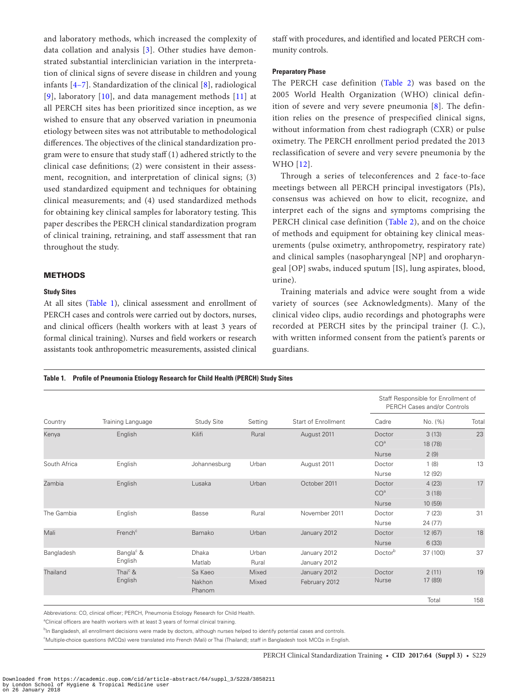and laboratory methods, which increased the complexity of data collation and analysis [3]. Other studies have demonstrated substantial interclinician variation in the interpretation of clinical signs of severe disease in children and young infants  $[4-7]$ . Standardization of the clinical  $[8]$ , radiological [9], laboratory [10], and data management methods [11] at all PERCH sites has been prioritized since inception, as we wished to ensure that any observed variation in pneumonia etiology between sites was not attributable to methodological differences. The objectives of the clinical standardization program were to ensure that study staff (1) adhered strictly to the clinical case definitions; (2) were consistent in their assessment, recognition, and interpretation of clinical signs; (3) used standardized equipment and techniques for obtaining clinical measurements; and (4) used standardized methods for obtaining key clinical samples for laboratory testing. This paper describes the PERCH clinical standardization program of clinical training, retraining, and staff assessment that ran throughout the study.

## METHODS

#### **Study Sites**

At all sites (Table 1), clinical assessment and enrollment of PERCH cases and controls were carried out by doctors, nurses, and clinical officers (health workers with at least 3 years of formal clinical training). Nurses and field workers or research assistants took anthropometric measurements, assisted clinical

staff with procedures, and identified and located PERCH community controls.

### **Preparatory Phase**

The PERCH case definition (Table 2) was based on the 2005 World Health Organization (WHO) clinical definition of severe and very severe pneumonia [8]. The definition relies on the presence of prespecified clinical signs, without information from chest radiograph (CXR) or pulse oximetry. The PERCH enrollment period predated the 2013 reclassification of severe and very severe pneumonia by the WHO [12].

Through a series of teleconferences and 2 face-to-face meetings between all PERCH principal investigators (PIs), consensus was achieved on how to elicit, recognize, and interpret each of the signs and symptoms comprising the PERCH clinical case definition (Table 2), and on the choice of methods and equipment for obtaining key clinical measurements (pulse oximetry, anthropometry, respiratory rate) and clinical samples (nasopharyngeal [NP] and oropharyngeal [OP] swabs, induced sputum [IS], lung aspirates, blood, urine).

Training materials and advice were sought from a wide variety of sources (see Acknowledgments). Many of the clinical video clips, audio recordings and photographs were recorded at PERCH sites by the principal trainer (J. C.), with written informed consent from the patient's parents or guardians.

**Table 1. Profile of Pneumonia Etiology Research for Child Health (PERCH) Study Sites**

| Country      | Training Language                |                                  | Setting | Start of Enrollment | Staff Responsible for Enrollment of<br>PERCH Cases and/or Controls |          |       |  |
|--------------|----------------------------------|----------------------------------|---------|---------------------|--------------------------------------------------------------------|----------|-------|--|
|              |                                  | <b>Study Site</b>                |         |                     | Cadre                                                              | No. (%)  | Total |  |
| Kenya        | English                          | Kilifi                           | Rural   | August 2011         | Doctor                                                             | 3(13)    | 23    |  |
|              |                                  |                                  |         |                     | CO <sup>a</sup>                                                    | 18 (78)  |       |  |
|              |                                  |                                  |         |                     | Nurse                                                              | 2(9)     |       |  |
| South Africa | English                          | Johannesburg                     | Urban   | August 2011         | Doctor                                                             | 1(8)     | 13    |  |
|              |                                  |                                  |         |                     | Nurse                                                              | 12 (92)  |       |  |
| Zambia       | English                          | Lusaka                           | Urban   | October 2011        | Doctor                                                             | 4(23)    | 17    |  |
|              |                                  |                                  |         |                     | CO <sup>a</sup>                                                    | 3(18)    |       |  |
|              |                                  |                                  |         |                     | Nurse                                                              | 10 (59)  |       |  |
| The Gambia   | English                          | Basse                            | Rural   | November 2011       | Doctor                                                             | 7(23)    | 31    |  |
|              |                                  |                                  |         |                     | Nurse                                                              | 24 (77)  |       |  |
| Mali         | French <sup>c</sup>              | Bamako                           | Urban   | January 2012        | Doctor                                                             | 12(67)   | 18    |  |
|              |                                  |                                  |         |                     | Nurse                                                              | 6(33)    |       |  |
| Bangladesh   | Bangla <sup>c</sup> &<br>English | Dhaka                            | Urban   | January 2012        | Doctorb                                                            | 37 (100) | 37    |  |
|              |                                  | Matlab                           | Rural   | January 2012        |                                                                    |          |       |  |
| Thailand     | Thai <sup>c</sup> &              | Sa Kaeo<br>Mixed<br>January 2012 | Doctor  | 2(11)               | 19                                                                 |          |       |  |
|              | English                          | Nakhon<br>Phanom                 | Mixed   | February 2012       | Nurse                                                              | 17 (89)  |       |  |
|              |                                  |                                  |         |                     |                                                                    | Total    | 158   |  |

Abbreviations: CO, clinical officer; PERCH, Pneumonia Etiology Research for Child Health.

<sup>a</sup>Clinical officers are health workers with at least 3 years of formal clinical training.

<sup>b</sup>In Bangladesh, all enrollment decisions were made by doctors, although nurses helped to identify potential cases and controls.

c Multiple-choice questions (MCQs) were translated into French (Mali) or Thai (Thailand); staff in Bangladesh took MCQs in English.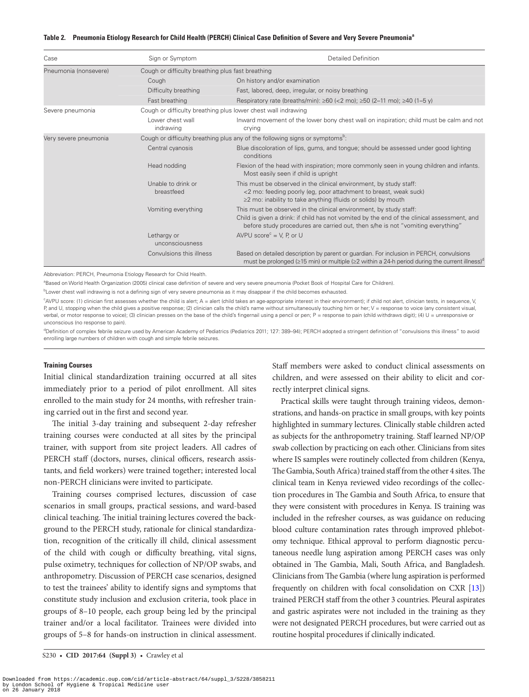|  |  |  |  | Table 2.    Pneumonia Etiology Research for Child Health (PERCH) Clinical Case Definition of Severe and Very Severe Pneumonia <sup>a</sup> |
|--|--|--|--|--------------------------------------------------------------------------------------------------------------------------------------------|
|--|--|--|--|--------------------------------------------------------------------------------------------------------------------------------------------|

| Case                  | Sign or Symptom                                   | <b>Detailed Definition</b>                                                                                                                                                                                                                           |
|-----------------------|---------------------------------------------------|------------------------------------------------------------------------------------------------------------------------------------------------------------------------------------------------------------------------------------------------------|
| Pneumonia (nonsevere) | Cough or difficulty breathing plus fast breathing |                                                                                                                                                                                                                                                      |
|                       | Cough                                             | On history and/or examination                                                                                                                                                                                                                        |
|                       | Difficulty breathing                              | Fast, labored, deep, irregular, or noisy breathing                                                                                                                                                                                                   |
|                       | Fast breathing                                    | Respiratory rate (breaths/min): ≥60 (<2 mo); ≥50 (2–11 mo); ≥40 (1–5 y)                                                                                                                                                                              |
| Severe pneumonia      |                                                   | Cough or difficulty breathing plus lower chest wall indrawing                                                                                                                                                                                        |
|                       | Lower chest wall<br>indrawing                     | Inward movement of the lower bony chest wall on inspiration; child must be calm and not<br>crying                                                                                                                                                    |
| Very severe pneumonia |                                                   | Cough or difficulty breathing plus any of the following signs or symptoms <sup>b</sup> :                                                                                                                                                             |
|                       | Central cyanosis                                  | Blue discoloration of lips, gums, and tongue; should be assessed under good lighting<br>conditions                                                                                                                                                   |
|                       | Head nodding                                      | Flexion of the head with inspiration; more commonly seen in young children and infants.<br>Most easily seen if child is upright                                                                                                                      |
|                       | Unable to drink or<br>breastfeed                  | This must be observed in the clinical environment, by study staff:<br><2 mo: feeding poorly (eg, poor attachment to breast, weak suck)<br>$\geq$ 2 mo: inability to take anything (fluids or solids) by mouth                                        |
|                       | Vomiting everything                               | This must be observed in the clinical environment, by study staff:<br>Child is given a drink: if child has not vomited by the end of the clinical assessment, and<br>before study procedures are carried out, then s/he is not "vomiting everything" |
|                       | Lethargy or<br>unconsciousness                    | AVPU score <sup>c</sup> = $V$ , P, or U                                                                                                                                                                                                              |
|                       | Convulsions this illness                          | Based on detailed description by parent or guardian. For inclusion in PERCH, convulsions<br>must be prolonged ( $\geq 15$ min) or multiple ( $\geq 2$ within a 24-h period during the current illness) <sup>a</sup>                                  |

Abbreviation: PERCH, Pneumonia Etiology Research for Child Health.

<sup>a</sup>Based on World Health Organization (2005) clinical case definition of severe and very severe pneumonia (Pocket Book of Hospital Care for Children).

b Lower chest wall indrawing is not a defining sign of very severe pneumonia as it may disappear if the child becomes exhausted.

c AVPU score: (1) clinician first assesses whether the child is alert; A = alert (child takes an age-appropriate interest in their environment); if child not alert, clinician tests, in sequence, V, P, and U, stopping when the child gives a positive response; (2) clinician calls the child's name without simultaneously touching him or her; V = response to voice (any consistent visual, verbal, or motor response to voice); (3) clinician presses on the base of the child's fingernail using a pencil or pen; P = response to pain (child withdraws digit); (4) U = unresponsive or unconscious (no response to pain).

d Definition of complex febrile seizure used by American Academy of Pediatrics (Pediatrics 2011; 127: 389–94); PERCH adopted a stringent definition of "convulsions this illness" to avoid enrolling large numbers of children with cough and simple febrile seizures.

#### **Training Courses**

Initial clinical standardization training occurred at all sites immediately prior to a period of pilot enrollment. All sites enrolled to the main study for 24 months, with refresher training carried out in the first and second year.

The initial 3-day training and subsequent 2-day refresher training courses were conducted at all sites by the principal trainer, with support from site project leaders. All cadres of PERCH staff (doctors, nurses, clinical officers, research assistants, and field workers) were trained together; interested local non-PERCH clinicians were invited to participate.

Training courses comprised lectures, discussion of case scenarios in small groups, practical sessions, and ward-based clinical teaching. The initial training lectures covered the background to the PERCH study, rationale for clinical standardization, recognition of the critically ill child, clinical assessment of the child with cough or difficulty breathing, vital signs, pulse oximetry, techniques for collection of NP/OP swabs, and anthropometry. Discussion of PERCH case scenarios, designed to test the trainees' ability to identify signs and symptoms that constitute study inclusion and exclusion criteria, took place in groups of 8–10 people, each group being led by the principal trainer and/or a local facilitator. Trainees were divided into groups of 5–8 for hands-on instruction in clinical assessment. Staff members were asked to conduct clinical assessments on children, and were assessed on their ability to elicit and correctly interpret clinical signs.

Practical skills were taught through training videos, demonstrations, and hands-on practice in small groups, with key points highlighted in summary lectures. Clinically stable children acted as subjects for the anthropometry training. Staff learned NP/OP swab collection by practicing on each other. Clinicians from sites where IS samples were routinely collected from children (Kenya, The Gambia, South Africa) trained staff from the other 4 sites. The clinical team in Kenya reviewed video recordings of the collection procedures in The Gambia and South Africa, to ensure that they were consistent with procedures in Kenya. IS training was included in the refresher courses, as was guidance on reducing blood culture contamination rates through improved phlebotomy technique. Ethical approval to perform diagnostic percutaneous needle lung aspiration among PERCH cases was only obtained in The Gambia, Mali, South Africa, and Bangladesh. Clinicians from The Gambia (where lung aspiration is performed frequently on children with focal consolidation on CXR [13]) trained PERCH staff from the other 3 countries. Pleural aspirates and gastric aspirates were not included in the training as they were not designated PERCH procedures, but were carried out as routine hospital procedures if clinically indicated.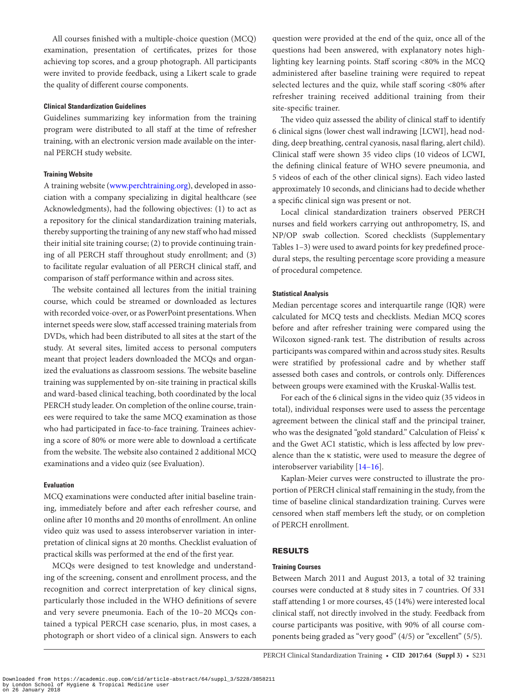All courses finished with a multiple-choice question (MCQ) examination, presentation of certificates, prizes for those achieving top scores, and a group photograph. All participants were invited to provide feedback, using a Likert scale to grade the quality of different course components.

## **Clinical Standardization Guidelines**

Guidelines summarizing key information from the training program were distributed to all staff at the time of refresher training, with an electronic version made available on the internal PERCH study website.

# **Training Website**

A training website (www.perchtraining.org), developed in association with a company specializing in digital healthcare (see Acknowledgments), had the following objectives: (1) to act as a repository for the clinical standardization training materials, thereby supporting the training of any new staff who had missed their initial site training course; (2) to provide continuing training of all PERCH staff throughout study enrollment; and (3) to facilitate regular evaluation of all PERCH clinical staff, and comparison of staff performance within and across sites.

The website contained all lectures from the initial training course, which could be streamed or downloaded as lectures with recorded voice-over, or as PowerPoint presentations. When internet speeds were slow, staff accessed training materials from DVDs, which had been distributed to all sites at the start of the study. At several sites, limited access to personal computers meant that project leaders downloaded the MCQs and organized the evaluations as classroom sessions. The website baseline training was supplemented by on-site training in practical skills and ward-based clinical teaching, both coordinated by the local PERCH study leader. On completion of the online course, trainees were required to take the same MCQ examination as those who had participated in face-to-face training. Trainees achieving a score of 80% or more were able to download a certificate from the website. The website also contained 2 additional MCQ examinations and a video quiz (see Evaluation).

#### **Evaluation**

MCQ examinations were conducted after initial baseline training, immediately before and after each refresher course, and online after 10 months and 20 months of enrollment. An online video quiz was used to assess interobserver variation in interpretation of clinical signs at 20 months. Checklist evaluation of practical skills was performed at the end of the first year.

MCQs were designed to test knowledge and understanding of the screening, consent and enrollment process, and the recognition and correct interpretation of key clinical signs, particularly those included in the WHO definitions of severe and very severe pneumonia. Each of the 10–20 MCQs contained a typical PERCH case scenario, plus, in most cases, a photograph or short video of a clinical sign. Answers to each question were provided at the end of the quiz, once all of the questions had been answered, with explanatory notes highlighting key learning points. Staff scoring <80% in the MCQ administered after baseline training were required to repeat selected lectures and the quiz, while staff scoring <80% after refresher training received additional training from their site-specific trainer.

The video quiz assessed the ability of clinical staff to identify 6 clinical signs (lower chest wall indrawing [LCWI], head nodding, deep breathing, central cyanosis, nasal flaring, alert child). Clinical staff were shown 35 video clips (10 videos of LCWI, the defining clinical feature of WHO severe pneumonia, and 5 videos of each of the other clinical signs). Each video lasted approximately 10 seconds, and clinicians had to decide whether a specific clinical sign was present or not.

Local clinical standardization trainers observed PERCH nurses and field workers carrying out anthropometry, IS, and NP/OP swab collection. Scored checklists (Supplementary Tables 1–3) were used to award points for key predefined procedural steps, the resulting percentage score providing a measure of procedural competence.

## **Statistical Analysis**

Median percentage scores and interquartile range (IQR) were calculated for MCQ tests and checklists. Median MCQ scores before and after refresher training were compared using the Wilcoxon signed-rank test. The distribution of results across participants was compared within and across study sites. Results were stratified by professional cadre and by whether staff assessed both cases and controls, or controls only. Differences between groups were examined with the Kruskal-Wallis test.

For each of the 6 clinical signs in the video quiz (35 videos in total), individual responses were used to assess the percentage agreement between the clinical staff and the principal trainer, who was the designated "gold standard." Calculation of Fleiss' κ and the Gwet AC1 statistic, which is less affected by low prevalence than the κ statistic, were used to measure the degree of interobserver variability [14–16].

Kaplan-Meier curves were constructed to illustrate the proportion of PERCH clinical staff remaining in the study, from the time of baseline clinical standardization training. Curves were censored when staff members left the study, or on completion of PERCH enrollment.

### RESULTS

# **Training Courses**

Between March 2011 and August 2013, a total of 32 training courses were conducted at 8 study sites in 7 countries. Of 331 staff attending 1 or more courses, 45 (14%) were interested local clinical staff, not directly involved in the study. Feedback from course participants was positive, with 90% of all course components being graded as "very good" (4/5) or "excellent" (5/5).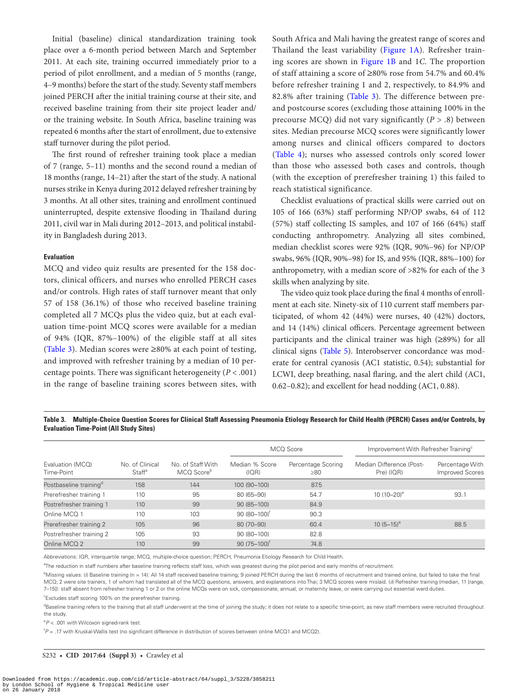Initial (baseline) clinical standardization training took place over a 6-month period between March and September 2011. At each site, training occurred immediately prior to a period of pilot enrollment, and a median of 5 months (range, 4–9 months) before the start of the study. Seventy staff members joined PERCH after the initial training course at their site, and received baseline training from their site project leader and/ or the training website. In South Africa, baseline training was repeated 6 months after the start of enrollment, due to extensive staff turnover during the pilot period.

The first round of refresher training took place a median of 7 (range, 5–11) months and the second round a median of 18 months (range, 14–21) after the start of the study. A national nurses strike in Kenya during 2012 delayed refresher training by 3 months. At all other sites, training and enrollment continued uninterrupted, despite extensive flooding in Thailand during 2011, civil war in Mali during 2012–2013, and political instability in Bangladesh during 2013.

#### **Evaluation**

MCQ and video quiz results are presented for the 158 doctors, clinical officers, and nurses who enrolled PERCH cases and/or controls. High rates of staff turnover meant that only 57 of 158 (36.1%) of those who received baseline training completed all 7 MCQs plus the video quiz, but at each evaluation time-point MCQ scores were available for a median of 94% (IQR, 87%–100%) of the eligible staff at all sites (Table 3). Median scores were ≥80% at each point of testing, and improved with refresher training by a median of 10 percentage points. There was significant heterogeneity (*P* < .001) in the range of baseline training scores between sites, with

South Africa and Mali having the greatest range of scores and Thailand the least variability (Figure 1A). Refresher training scores are shown in Figure 1B and 1*C*. The proportion of staff attaining a score of ≥80% rose from 54.7% and 60.4% before refresher training 1 and 2, respectively, to 84.9% and 82.8% after training (Table 3). The difference between preand postcourse scores (excluding those attaining 100% in the precourse MCQ) did not vary significantly (*P* > .8) between sites. Median precourse MCQ scores were significantly lower among nurses and clinical officers compared to doctors (Table 4); nurses who assessed controls only scored lower than those who assessed both cases and controls, though (with the exception of prerefresher training 1) this failed to reach statistical significance.

Checklist evaluations of practical skills were carried out on 105 of 166 (63%) staff performing NP/OP swabs, 64 of 112 (57%) staff collecting IS samples, and 107 of 166 (64%) staff conducting anthropometry. Analyzing all sites combined, median checklist scores were 92% (IQR, 90%–96) for NP/OP swabs, 96% (IQR, 90%–98) for IS, and 95% (IQR, 88%–100) for anthropometry, with a median score of >82% for each of the 3 skills when analyzing by site.

The video quiz took place during the final 4 months of enrollment at each site. Ninety-six of 110 current staff members participated, of whom 42 (44%) were nurses, 40 (42%) doctors, and 14 (14%) clinical officers. Percentage agreement between participants and the clinical trainer was high (≥89%) for all clinical signs (Table 5). Interobserver concordance was moderate for central cyanosis (AC1 statistic, 0.54); substantial for LCWI, deep breathing, nasal flaring, and the alert child (AC1, 0.62–0.82); and excellent for head nodding (AC1, 0.88).

## **Table 3. Multiple-Choice Question Scores for Clinical Staff Assessing Pneumonia Etiology Research for Child Health (PERCH) Cases and/or Controls, by Evaluation Time-Point (All Study Sites)**

|                                    |                                              |                                             |                         | MCO Score                 | Improvement With Refresher Training <sup>c</sup> |                                           |  |
|------------------------------------|----------------------------------------------|---------------------------------------------|-------------------------|---------------------------|--------------------------------------------------|-------------------------------------------|--|
| Evaluation (MCQ)<br>Time-Point     | No. of Clinical<br><b>Staff</b> <sup>a</sup> | No. of Staff With<br>MCQ Score <sup>b</sup> | Median % Score<br>(IQR) | Percentage Scoring<br>≥80 | Median Difference (Post-<br>Pre) (IQR)           | Percentage With<br><b>Improved Scores</b> |  |
| Postbaseline training <sup>d</sup> | 158                                          | 144                                         | 100 (90-100)            | 87.5                      |                                                  |                                           |  |
| Prerefresher training 1            | 110                                          | 95                                          | 80 (65-90)              | 54.7                      | 10 $(10-20)$ <sup>e</sup>                        | 93.1                                      |  |
| Postrefresher training 1           | 110                                          | 99                                          | $90(85 - 100)$          | 84.9                      |                                                  |                                           |  |
| Online MCO 1                       | 110                                          | 103                                         | $90(80-100)^t$          | 90.3                      |                                                  |                                           |  |
| Prerefresher training 2            | 105                                          | 96                                          | 80 (70-90)              | 60.4                      | $10(5-15)^e$                                     | 88.5                                      |  |
| Postrefresher training 2           | 105                                          | 93                                          | 90 (80-100)             | 82.8                      |                                                  |                                           |  |
| Online MCO 2                       | 110                                          | 99                                          | $90(75-100)^f$          | 74.8                      |                                                  |                                           |  |

Abbreviations: IQR, interquartile range; MCQ, multiple-choice question; PERCH, Pneumonia Etiology Research for Child Health.

<sup>a</sup>The reduction in staff numbers after baseline training reflects staff loss, which was greatest during the pilot period and early months of recruitment.

<sup>b</sup>Missing values: (*i*) Baseline training (n = 14): All 14 staff received baseline training; 9 joined PERCH during the last 6 months of recruitment and trained online, but failed to take the final MCQ; 2 were site trainers, 1 of whom had translated all of the MCQ questions, answers, and explanations into Thai; 3 MCQ scores were mislaid. (*ii*) Refresher training (median, 11 [range, 7–15]): staff absent from refresher training 1 or 2 or the online MCQs were on sick, compassionate, annual, or maternity leave, or were carrying out essential ward duties.

c Excludes staff scoring 100% on the prerefresher training.

<sup>d</sup>Baseline training refers to the training that all staff underwent at the time of joining the study; it does not relate to a specific time-point, as new staff members were recruited throughout the study.

e *P* < .001 with Wilcoxon signed-rank test.

f *P* = .17 with Kruskal-Wallis test (no significant difference in distribution of scores between online MCQ1 and MCQ2).

S232 • **CID 2017:64 (Suppl 3)** • Crawley et al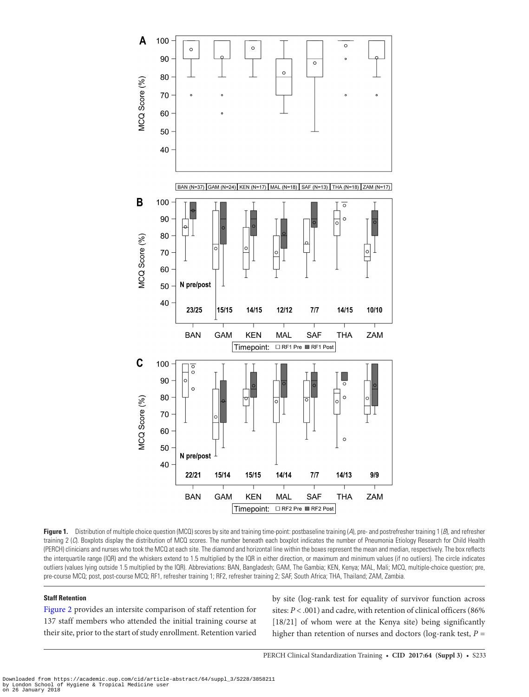

**Figure 1.** Distribution of multiple choice question (MCQ) scores by site and training time-point: postbaseline training (*A*), pre- and postrefresher training 1 (*B*), and refresher training 2 (*C*). Boxplots display the distribution of MCQ scores. The number beneath each boxplot indicates the number of Pneumonia Etiology Research for Child Health (PERCH) clinicians and nurses who took the MCQ at each site. The diamond and horizontal line within the boxes represent the mean and median, respectively. The box reflects the interquartile range (IQR) and the whiskers extend to 1.5 multiplied by the IQR in either direction, or maximum and minimum values (if no outliers). The circle indicates outliers (values lying outside 1.5 multiplied by the IQR). Abbreviations: BAN, Bangladesh; GAM, The Gambia; KEN, Kenya; MAL, Mali; MCQ, multiple-choice question; pre, pre-course MCQ; post, post-course MCQ; RF1, refresher training 1; RF2, refresher training 2; SAF, South Africa; THA, Thailand; ZAM, Zambia.

# **Staff Retention**

Figure 2 provides an intersite comparison of staff retention for 137 staff members who attended the initial training course at their site, prior to the start of study enrollment. Retention varied by site (log-rank test for equality of survivor function across sites: *P* < .001) and cadre, with retention of clinical officers (86% [18/21] of whom were at the Kenya site) being significantly higher than retention of nurses and doctors (log-rank test, *P* =

PERCH Clinical Standardization Training • **CID 2017:64 (Suppl 3)** • S233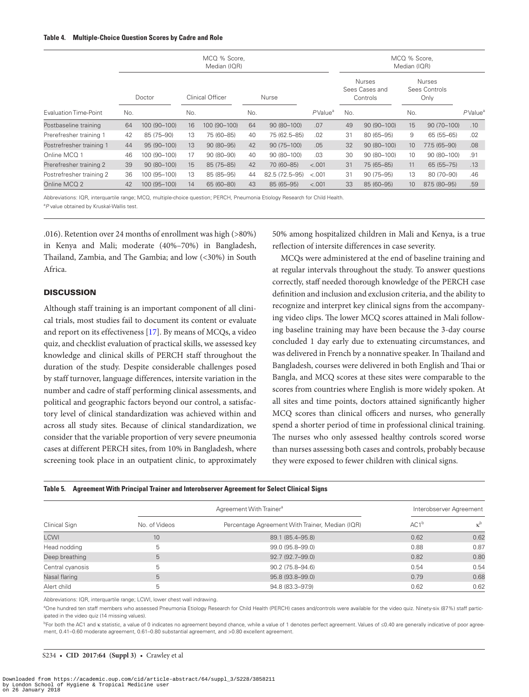|                              | MCQ % Score,<br>Median (IQR) |              |     |                  |     |                |                        | MCQ % Score,<br>Median (IQR) |                                             |     |                                        |                        |
|------------------------------|------------------------------|--------------|-----|------------------|-----|----------------|------------------------|------------------------------|---------------------------------------------|-----|----------------------------------------|------------------------|
|                              |                              | Doctor       |     | Clinical Officer |     | Nurse          |                        |                              | <b>Nurses</b><br>Sees Cases and<br>Controls |     | <b>Nurses</b><br>Sees Controls<br>Only |                        |
| <b>Evaluation Time-Point</b> | No.                          |              | No. |                  | No. |                | $P$ Value <sup>a</sup> | No.                          |                                             | No. |                                        | $P$ Value <sup>a</sup> |
| Postbaseline training        | 64                           | 100 (90-100) | 16  | 100 (90-100)     | 64  | 90 (80-100)    | .07                    | 49                           | $90(90 - 100)$                              | 15  | $90(70 - 100)$                         | .10                    |
| Prerefresher training 1      | 42                           | 85 (75-90)   | 13  | 75 (60-85)       | 40  | 75 (62.5-85)   | .02                    | 31                           | 80 (65-95)                                  | 9   | 65 (55-65)                             | .02                    |
| Postrefresher training 1     | 44                           | 95 (90-100)  | 13  | $90(80 - 95)$    | 42  | $90(75 - 100)$ | .05                    | 32                           | 90 (80-100)                                 | 10  | 77.5 (65-90)                           | .08                    |
| Online MCO 1                 | 46                           | 100 (90-100) | 17  | $90(80 - 90)$    | 40  | 90 (80-100)    | .03                    | 30                           | 90 (80-100)                                 | 10  | 90 (80-100)                            | .91                    |
| Prerefresher training 2      | 39                           | $90(80-100)$ | 15  | 85 (75-85)       | 42  | 70 (60-85)     | < .001                 | 31                           | 75 (65-85)                                  | 11  | 65 (55 - 75)                           | .13                    |
| Postrefresher training 2     | 36                           | 100 (95-100) | 13  | 85 (85-95)       | 44  | 82.5 (72.5-95) | < 0.001                | 31                           | 90 (75-95)                                  | 13  | 80 (70-90)                             | .46                    |
| Online MCQ 2                 | 42                           | 100 (95-100) | 14  | 65 (60-80)       | 43  | 85 (65-95)     | < .001                 | 33                           | 85 (60-95)                                  | 10  | 87.5 (80-95)                           | .59                    |

Abbreviations: IQR, interquartile range; MCQ, multiple-choice question; PERCH, Pneumonia Etiology Research for Child Health.

<sup>a</sup>P value obtained by Kruskal-Wallis test.

.016). Retention over 24 months of enrollment was high (>80%) in Kenya and Mali; moderate (40%–70%) in Bangladesh, Thailand, Zambia, and The Gambia; and low (<30%) in South Africa.

# **DISCUSSION**

Although staff training is an important component of all clinical trials, most studies fail to document its content or evaluate and report on its effectiveness [17]. By means of MCQs, a video quiz, and checklist evaluation of practical skills, we assessed key knowledge and clinical skills of PERCH staff throughout the duration of the study. Despite considerable challenges posed by staff turnover, language differences, intersite variation in the number and cadre of staff performing clinical assessments, and political and geographic factors beyond our control, a satisfactory level of clinical standardization was achieved within and across all study sites. Because of clinical standardization, we consider that the variable proportion of very severe pneumonia cases at different PERCH sites, from 10% in Bangladesh, where screening took place in an outpatient clinic, to approximately 50% among hospitalized children in Mali and Kenya, is a true reflection of intersite differences in case severity.

MCQs were administered at the end of baseline training and at regular intervals throughout the study. To answer questions correctly, staff needed thorough knowledge of the PERCH case definition and inclusion and exclusion criteria, and the ability to recognize and interpret key clinical signs from the accompanying video clips. The lower MCQ scores attained in Mali following baseline training may have been because the 3-day course concluded 1 day early due to extenuating circumstances, and was delivered in French by a nonnative speaker. In Thailand and Bangladesh, courses were delivered in both English and Thai or Bangla, and MCQ scores at these sites were comparable to the scores from countries where English is more widely spoken. At all sites and time points, doctors attained significantly higher MCQ scores than clinical officers and nurses, who generally spend a shorter period of time in professional clinical training. The nurses who only assessed healthy controls scored worse than nurses assessing both cases and controls, probably because they were exposed to fewer children with clinical signs.

|  | Table 5. Agreement With Principal Trainer and Interobserver Agreement for Select Clinical Signs |  |
|--|-------------------------------------------------------------------------------------------------|--|
|  |                                                                                                 |  |

| Clinical Sign    |               | Interobserver Agreement                         |                  |      |
|------------------|---------------|-------------------------------------------------|------------------|------|
|                  | No. of Videos | Percentage Agreement With Trainer, Median (IQR) | AC1 <sup>b</sup> |      |
| <b>LCWI</b>      | 10            | 89.1 (85.4-95.8)                                | 0.62             | 0.62 |
| Head nodding     | 5             | 99.0 (95.8-99.0)                                | 0.88             | 0.87 |
| Deep breathing   | 5             | $92.7(92.7 - 99.0)$                             | 0.82             | 0.80 |
| Central cyanosis | 5             | $90.2(75.8 - 94.6)$                             | 0.54             | 0.54 |
| Nasal flaring    | 5             | 95.8 (93.8-99.0)                                | 0.79             | 0.68 |
| Alert child      | 5             | 94.8 (83.3-97.9)                                | 0.62             | 0.62 |

Abbreviations: IQR, interquartile range; LCWI, lower chest wall indrawing.

<sup>a</sup>One hundred ten staff members who assessed Pneumonia Etiology Research for Child Health (PERCH) cases and/controls were available for the video quiz. Ninety-six (87%) staff participated in the video quiz (14 missing values).

bFor both the AC1 and κ statistic, a value of 0 indicates no agreement beyond chance, while a value of 1 denotes perfect agreement. Values of ≤0.40 are generally indicative of poor agreement, 0.41–0.60 moderate agreement, 0.61–0.80 substantial agreement, and >0.80 excellent agreement.

S234 • **CID 2017:64 (Suppl 3)** • Crawley et al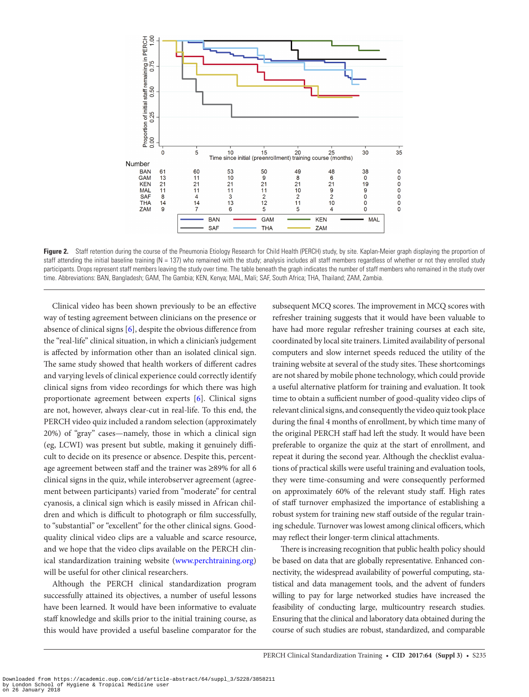

Figure 2. Staff retention during the course of the Pneumonia Etiology Research for Child Health (PERCH) study, by site. Kaplan-Meier graph displaying the proportion of staff attending the initial baseline training (N = 137) who remained with the study; analysis includes all staff members regardless of whether or not they enrolled study participants. Drops represent staff members leaving the study over time. The table beneath the graph indicates the number of staff members who remained in the study over time. Abbreviations: BAN, Bangladesh; GAM, The Gambia; KEN, Kenya; MAL, Mali; SAF, South Africa; THA, Thailand; ZAM, Zambia.

Clinical video has been shown previously to be an effective way of testing agreement between clinicians on the presence or absence of clinical signs [6], despite the obvious difference from the "real-life" clinical situation, in which a clinician's judgement is affected by information other than an isolated clinical sign. The same study showed that health workers of different cadres and varying levels of clinical experience could correctly identify clinical signs from video recordings for which there was high proportionate agreement between experts [6]. Clinical signs are not, however, always clear-cut in real-life. To this end, the PERCH video quiz included a random selection (approximately 20%) of "gray" cases—namely, those in which a clinical sign (eg, LCWI) was present but subtle, making it genuinely difficult to decide on its presence or absence. Despite this, percentage agreement between staff and the trainer was ≥89% for all 6 clinical signs in the quiz, while interobserver agreement (agreement between participants) varied from "moderate" for central cyanosis, a clinical sign which is easily missed in African children and which is difficult to photograph or film successfully, to "substantial" or "excellent" for the other clinical signs. Goodquality clinical video clips are a valuable and scarce resource, and we hope that the video clips available on the PERCH clinical standardization training website (www.perchtraining.org) will be useful for other clinical researchers.

Although the PERCH clinical standardization program successfully attained its objectives, a number of useful lessons have been learned. It would have been informative to evaluate staff knowledge and skills prior to the initial training course, as this would have provided a useful baseline comparator for the subsequent MCQ scores. The improvement in MCQ scores with refresher training suggests that it would have been valuable to have had more regular refresher training courses at each site, coordinated by local site trainers. Limited availability of personal computers and slow internet speeds reduced the utility of the training website at several of the study sites. These shortcomings are not shared by mobile phone technology, which could provide a useful alternative platform for training and evaluation. It took time to obtain a sufficient number of good-quality video clips of relevant clinical signs, and consequently the video quiz took place during the final 4 months of enrollment, by which time many of the original PERCH staff had left the study. It would have been preferable to organize the quiz at the start of enrollment, and repeat it during the second year. Although the checklist evaluations of practical skills were useful training and evaluation tools, they were time-consuming and were consequently performed on approximately 60% of the relevant study staff. High rates of staff turnover emphasized the importance of establishing a robust system for training new staff outside of the regular training schedule. Turnover was lowest among clinical officers, which may reflect their longer-term clinical attachments.

There is increasing recognition that public health policy should be based on data that are globally representative. Enhanced connectivity, the widespread availability of powerful computing, statistical and data management tools, and the advent of funders willing to pay for large networked studies have increased the feasibility of conducting large, multicountry research studies. Ensuring that the clinical and laboratory data obtained during the course of such studies are robust, standardized, and comparable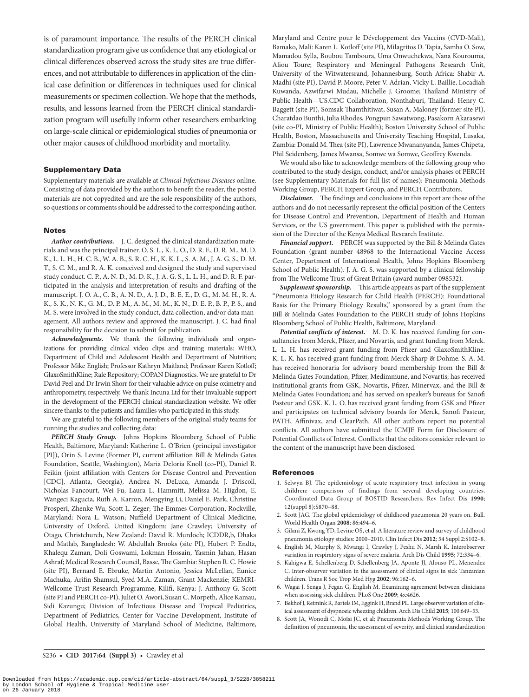is of paramount importance. The results of the PERCH clinical standardization program give us confidence that any etiological or clinical differences observed across the study sites are true differences, and not attributable to differences in application of the clinical case definition or differences in techniques used for clinical measurements or specimen collection. We hope that the methods, results, and lessons learned from the PERCH clinical standardization program will usefully inform other researchers embarking on large-scale clinical or epidemiological studies of pneumonia or other major causes of childhood morbidity and mortality.

#### Supplementary Data

Supplementary materials are available at *Clinical Infectious Diseases* online. Consisting of data provided by the authors to benefit the reader, the posted materials are not copyedited and are the sole responsibility of the authors, so questions or comments should be addressed to the corresponding author.

#### **Notes**

*Author contributions.* J. C. designed the clinical standardization materials and was the principal trainer. O. S. L., K. L. O., D. R. F., D. R. M., M. D. K., L. L. H., H. C. B., W. A. B., S. R. C. H., K. K. L., S. A. M., J. A. G. S., D. M. T., S. C. M., and R. A. K. conceived and designed the study and supervised study conduct. C. P., A. N. D., M. D. K., J. A. G. S., L. L. H., and D. R. F. participated in the analysis and interpretation of results and drafting of the manuscript. J. O. A., C. B., A. N. D., A. J. D., B. E. E., D. G., M. M. H., R. A. K., S. K., N. K., G. M., D. P. M., A. M., M. M., K. N., D. E. P., B. P., P. S., and M. S. were involved in the study conduct, data collection, and/or data management. All authors review and approved the manuscript. J. C. had final responsibility for the decision to submit for publication.

*Acknowledgments.* We thank the following individuals and organizations for providing clinical video clips and training materials: WHO, Department of Child and Adolescent Health and Department of Nutrition; Professor Mike English; Professor Kathryn Maitland; Professor Karen Kotloff; GlaxoSmithKline; Rale Repository; COPAN Diagnostics. We are grateful to Dr David Peel and Dr Irwin Shorr for their valuable advice on pulse oximetry and anthropometry, respectively. We thank Incuna Ltd for their invaluable support in the development of the PERCH clinical standardization website. We offer sincere thanks to the patients and families who participated in this study.

We are grateful to the following members of the original study teams for running the studies and collecting data:

*PERCH Study Group.* Johns Hopkins Bloomberg School of Public Health, Baltimore, Maryland: Katherine L. O'Brien (principal investigator [PI]), Orin S. Levine (Former PI, current affiliation Bill & Melinda Gates Foundation, Seattle, Washington), Maria Deloria Knoll (co-PI), Daniel R. Feikin (joint affiliation with Centers for Disease Control and Prevention [CDC], Atlanta, Georgia), Andrea N. DeLuca, Amanda J. Driscoll, Nicholas Fancourt, Wei Fu, Laura L. Hammitt, Melissa M. Higdon, E. Wangeci Kagucia, Ruth A. Karron, Mengying Li, Daniel E. Park, Christine Prosperi, Zhenke Wu, Scott L. Zeger; The Emmes Corporation, Rockville, Maryland: Nora L. Watson; Nuffield Department of Clinical Medicine, University of Oxford, United Kingdom: Jane Crawley; University of Otago, Christchurch, New Zealand: David R. Murdoch; ICDDR,b, Dhaka and Matlab, Bangladesh: W. Abdullah Brooks (site PI), Hubert P. Endtz, Khalequ Zaman, Doli Goswami, Lokman Hossain, Yasmin Jahan, Hasan Ashraf; Medical Research Council, Basse, The Gambia: Stephen R. C. Howie (site PI), Bernard E. Ebruke, Martin Antonio, Jessica McLellan, Eunice Machuka, Arifin Shamsul, Syed M.A. Zaman, Grant Mackenzie; KEMRI-Wellcome Trust Research Programme, Kilifi, Kenya: J. Anthony G. Scott (site PI and PERCH co-PI), Juliet O. Awori, Susan C. Morpeth, Alice Kamau, Sidi Kazungu; Division of Infectious Disease and Tropical Pediatrics, Department of Pediatrics, Center for Vaccine Development, Institute of Global Health, University of Maryland School of Medicine, Baltimore, Maryland and Centre pour le Développement des Vaccins (CVD-Mali), Bamako, Mali: Karen L. Kotloff (site PI), Milagritos D. Tapia, Samba O. Sow, Mamadou Sylla, Boubou Tamboura, Uma Onwuchekwa, Nana Kourouma, Aliou Toure; Respiratory and Meningeal Pathogens Research Unit, University of the Witwatersrand, Johannesburg, South Africa: Shabir A. Madhi (site PI), David P. Moore, Peter V. Adrian, Vicky L. Baillie, Locadiah Kuwanda, Azwifarwi Mudau, Michelle J. Groome; Thailand Ministry of Public Health—US.CDC Collaboration, Nonthaburi, Thailand: Henry C. Baggett (site PI), Somsak Thamthitiwat, Susan A. Maloney (former site PI), Charatdao Bunthi, Julia Rhodes, Pongpun Sawatwong, Pasakorn Akarasewi (site co-PI, Ministry of Public Health); Boston University School of Public Health, Boston, Massachusetts and University Teaching Hospital, Lusaka, Zambia: Donald M. Thea (site PI), Lawrence Mwananyanda, James Chipeta, Phil Seidenberg, James Mwansa, Somwe wa Somwe, Geoffrey Kwenda.

We would also like to acknowledge members of the following group who contributed to the study design, conduct, and/or analysis phases of PERCH (see Supplementary Materials for full list of names): Pneumonia Methods Working Group, PERCH Expert Group, and PERCH Contributors.

*Disclaimer.* The findings and conclusions in this report are those of the authors and do not necessarily represent the official position of the Centers for Disease Control and Prevention, Department of Health and Human Services, or the US government. This paper is published with the permission of the Director of the Kenya Medical Research Institute.

*Financial support.* PERCH was supported by the Bill & Melinda Gates Foundation (grant number 48968 to the International Vaccine Access Center, Department of International Health, Johns Hopkins Bloomberg School of Public Health). J. A. G. S. was supported by a clinical fellowship from The Wellcome Trust of Great Britain (award number 098532).

*Supplement sponsorship.* This article appears as part of the supplement "Pneumonia Etiology Research for Child Health (PERCH): Foundational Basis for the Primary Etiology Results," sponsored by a grant from the Bill & Melinda Gates Foundation to the PERCH study of Johns Hopkins Bloomberg School of Public Health, Baltimore, Maryland.

*Potential conflicts of interest.* M. D. K. has received funding for consultancies from Merck, Pfizer, and Novartis, and grant funding from Merck. L. L. H. has received grant funding from Pfizer and GlaxoSmithKline. K. L. K. has received grant funding from Merck Sharp & Dohme. S. A. M. has received honoraria for advisory board membership from the Bill & Melinda Gates Foundation, Pfizer, Medimmune, and Novartis; has received institutional grants from GSK, Novartis, Pfizer, Minervax, and the Bill & Melinda Gates Foundation; and has served on speaker's bureaus for Sanofi Pasteur and GSK. K. L. O. has received grant funding from GSK and Pfizer and participates on technical advisory boards for Merck, Sanofi Pasteur, PATH, Affinivax, and ClearPath. All other authors report no potential conflicts. All authors have submitted the ICMJE Form for Disclosure of Potential Conflicts of Interest. Conflicts that the editors consider relevant to the content of the manuscript have been disclosed.

#### References

- 1. Selwyn BJ. The epidemiology of acute respiratory tract infection in young children: comparison of findings from several developing countries. Coordinated Data Group of BOSTID Researchers. Rev Infect Dis **1990**; 12(suppl 8):S870–88.
- 2. Scott JAG. The global epidemiology of childhood pneumonia 20 years on. Bull. World Health Organ **2008**; 86:494–6.
- 3. Gilani Z, Kwong YD, Levine OS, et al. A literature review and survey of childhood pneumonia etiology studies: 2000–2010. Clin Infect Dis **2012**; 54 Suppl 2:S102–8.
- 4. English M, Murphy S, Mwangi I, Crawley J, Peshu N, Marsh K. Interobserver variation in respiratory signs of severe malaria. Arch Dis Child **1995**; 72:334–6.
- 5. Kahigwa E, Schellenberg D, Schellenberg JA, Aponte JJ, Alonso PL, Menendez C. Inter-observer variation in the assessment of clinical signs in sick Tanzanian children. Trans R Soc Trop Med Hyg **2002**; 96:162–6.
- 6. Wagai J, Senga J, Fegan G, English M. Examining agreement between clinicians when assessing sick children. PLoS One **2009**; 4:e4626.
- 7. Bekhof J, Reimink R, Bartels IM, Eggink H, Brand PL. Large observer variation of clinical assessment of dyspnoeic wheezing children. Arch Dis Child **2015**; 100:649–53.
- 8. Scott JA, Wonodi C, Moïsi JC, et al; Pneumonia Methods Working Group. The definition of pneumonia, the assessment of severity, and clinical standardization

S236 • **CID 2017:64 (Suppl 3)** • Crawley et al